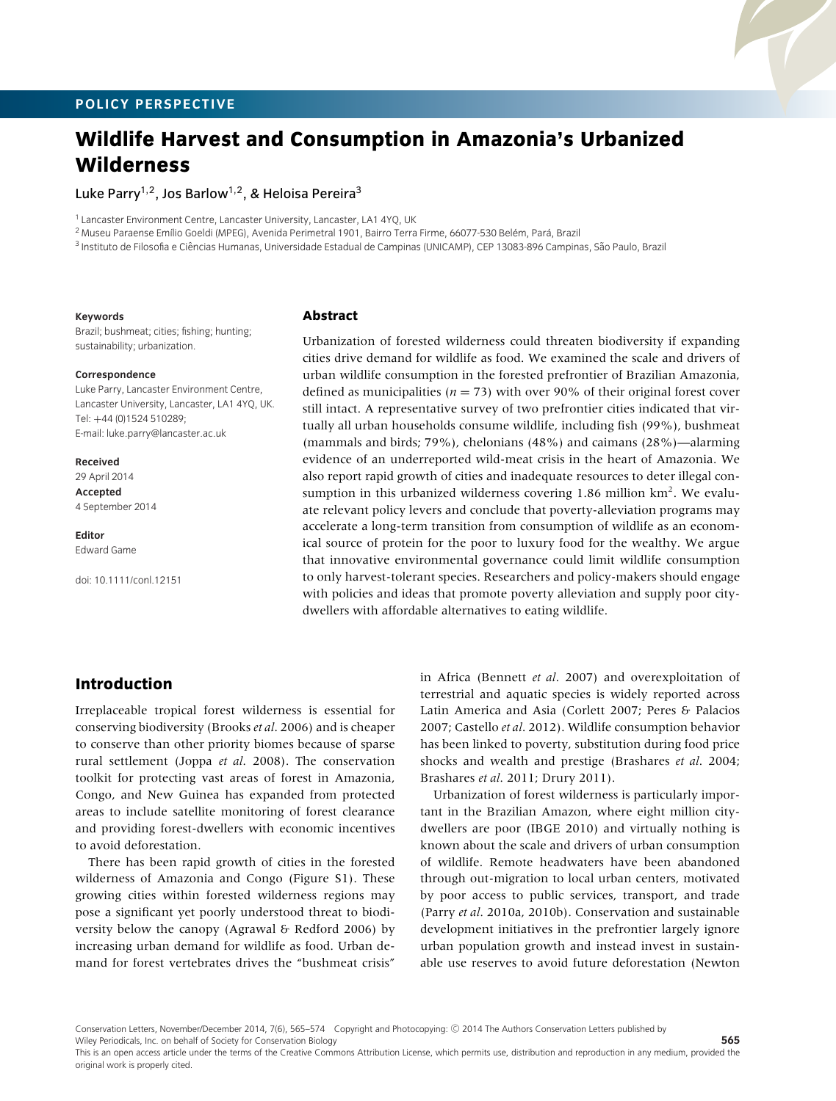## **POLICY PERSPECTIVE**



# **Wildlife Harvest and Consumption in Amazonia's Urbanized Wilderness**

Luke Parry<sup>1,2</sup>, Jos Barlow<sup>1,2</sup>, & Heloisa Pereira<sup>3</sup>

<sup>1</sup> Lancaster Environment Centre, Lancaster University, Lancaster, LA1 4YQ, UK

<sup>2</sup> Museu Paraense Emílio Goeldi (MPEG), Avenida Perimetral 1901, Bairro Terra Firme, 66077-530 Belém, Pará, Brazil

<sup>3</sup> Instituto de Filosofia e Ciências Humanas, Universidade Estadual de Campinas (UNICAMP), CEP 13083-896 Campinas, São Paulo, Brazil

#### **Keywords**

Brazil; bushmeat; cities; fishing; hunting; sustainability; urbanization.

#### **Correspondence**

Luke Parry, Lancaster Environment Centre, Lancaster University, Lancaster, LA1 4YQ, UK. Tel: +44 (0)1524 510289; E-mail: luke.parry@lancaster.ac.uk

**Received** 29 April 2014 **Accepted** 4 September 2014

**Editor** Edward Game

doi: 10.1111/conl.12151

#### **Abstract**

Urbanization of forested wilderness could threaten biodiversity if expanding cities drive demand for wildlife as food. We examined the scale and drivers of urban wildlife consumption in the forested prefrontier of Brazilian Amazonia, defined as municipalities ( $n = 73$ ) with over 90% of their original forest cover still intact. A representative survey of two prefrontier cities indicated that virtually all urban households consume wildlife, including fish (99%), bushmeat (mammals and birds; 79%), chelonians (48%) and caimans (28%)—alarming evidence of an underreported wild-meat crisis in the heart of Amazonia. We also report rapid growth of cities and inadequate resources to deter illegal consumption in this urbanized wilderness covering  $1.86$  million km<sup>2</sup>. We evaluate relevant policy levers and conclude that poverty-alleviation programs may accelerate a long-term transition from consumption of wildlife as an economical source of protein for the poor to luxury food for the wealthy. We argue that innovative environmental governance could limit wildlife consumption to only harvest-tolerant species. Researchers and policy-makers should engage with policies and ideas that promote poverty alleviation and supply poor citydwellers with affordable alternatives to eating wildlife.

## **Introduction**

Irreplaceable tropical forest wilderness is essential for conserving biodiversity (Brooks *et al*. 2006) and is cheaper to conserve than other priority biomes because of sparse rural settlement (Joppa *et al*. 2008). The conservation toolkit for protecting vast areas of forest in Amazonia, Congo, and New Guinea has expanded from protected areas to include satellite monitoring of forest clearance and providing forest-dwellers with economic incentives to avoid deforestation.

There has been rapid growth of cities in the forested wilderness of Amazonia and Congo (Figure S1). These growing cities within forested wilderness regions may pose a significant yet poorly understood threat to biodiversity below the canopy (Agrawal & Redford 2006) by increasing urban demand for wildlife as food. Urban demand for forest vertebrates drives the "bushmeat crisis"

in Africa (Bennett *et al*. 2007) and overexploitation of terrestrial and aquatic species is widely reported across Latin America and Asia (Corlett 2007; Peres & Palacios 2007; Castello *et al*. 2012). Wildlife consumption behavior has been linked to poverty, substitution during food price shocks and wealth and prestige (Brashares *et al*. 2004; Brashares *et al*. 2011; Drury 2011).

Urbanization of forest wilderness is particularly important in the Brazilian Amazon, where eight million citydwellers are poor (IBGE 2010) and virtually nothing is known about the scale and drivers of urban consumption of wildlife. Remote headwaters have been abandoned through out-migration to local urban centers, motivated by poor access to public services, transport, and trade (Parry *et al*. 2010a, 2010b). Conservation and sustainable development initiatives in the prefrontier largely ignore urban population growth and instead invest in sustainable use reserves to avoid future deforestation (Newton

Conservation Letters, November/December 2014, 7(6), 565–574 Copyright and Photocopying: © 2014 The Authors Conservation Letters published by Wiley Periodicals, Inc. on behalf of Society for Conservation Biology **565**

This is an open access article under the terms of the Creative Commons Attribution License, which permits use, distribution and reproduction in any medium, provided the original work is properly cited.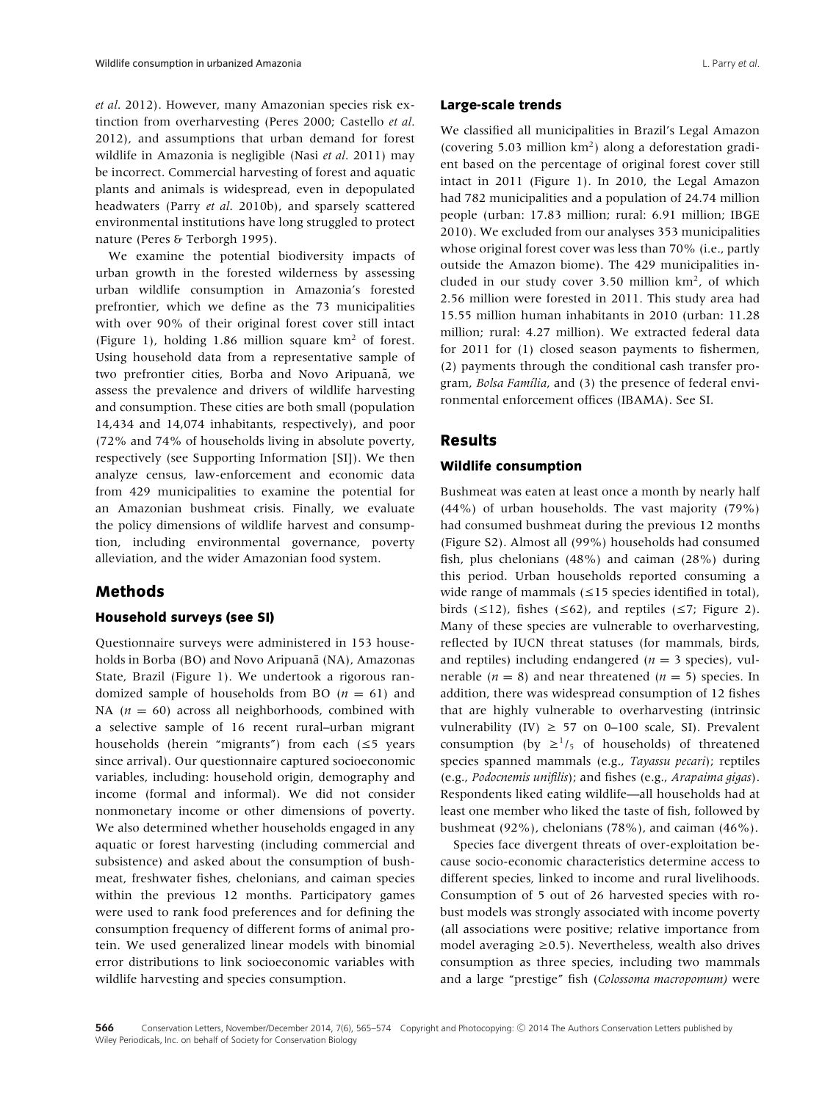*et al*. 2012). However, many Amazonian species risk extinction from overharvesting (Peres 2000; Castello *et al*. 2012), and assumptions that urban demand for forest wildlife in Amazonia is negligible (Nasi *et al*. 2011) may be incorrect. Commercial harvesting of forest and aquatic plants and animals is widespread, even in depopulated headwaters (Parry *et al*. 2010b), and sparsely scattered environmental institutions have long struggled to protect nature (Peres & Terborgh 1995).

We examine the potential biodiversity impacts of urban growth in the forested wilderness by assessing urban wildlife consumption in Amazonia's forested prefrontier, which we define as the 73 municipalities with over 90% of their original forest cover still intact (Figure 1), holding 1.86 million square  $km<sup>2</sup>$  of forest. Using household data from a representative sample of two prefrontier cities, Borba and Novo Aripuanã, we assess the prevalence and drivers of wildlife harvesting and consumption. These cities are both small (population 14,434 and 14,074 inhabitants, respectively), and poor (72% and 74% of households living in absolute poverty, respectively (see Supporting Information [SI]). We then analyze census, law-enforcement and economic data from 429 municipalities to examine the potential for an Amazonian bushmeat crisis. Finally, we evaluate the policy dimensions of wildlife harvest and consumption, including environmental governance, poverty alleviation, and the wider Amazonian food system.

### **Methods**

#### **Household surveys (see SI)**

Questionnaire surveys were administered in 153 households in Borba (BO) and Novo Aripuanã (NA), Amazonas State, Brazil (Figure 1). We undertook a rigorous randomized sample of households from BO  $(n = 61)$  and NA ( $n = 60$ ) across all neighborhoods, combined with a selective sample of 16 recent rural–urban migrant households (herein "migrants") from each  $(\leq 5$  years since arrival). Our questionnaire captured socioeconomic variables, including: household origin, demography and income (formal and informal). We did not consider nonmonetary income or other dimensions of poverty. We also determined whether households engaged in any aquatic or forest harvesting (including commercial and subsistence) and asked about the consumption of bushmeat, freshwater fishes, chelonians, and caiman species within the previous 12 months. Participatory games were used to rank food preferences and for defining the consumption frequency of different forms of animal protein. We used generalized linear models with binomial error distributions to link socioeconomic variables with wildlife harvesting and species consumption.

#### **Large-scale trends**

We classified all municipalities in Brazil's Legal Amazon (covering 5.03 million  $km^2$ ) along a deforestation gradient based on the percentage of original forest cover still intact in 2011 (Figure 1). In 2010, the Legal Amazon had 782 municipalities and a population of 24.74 million people (urban: 17.83 million; rural: 6.91 million; IBGE 2010). We excluded from our analyses 353 municipalities whose original forest cover was less than 70% (i.e., partly outside the Amazon biome). The 429 municipalities included in our study cover  $3.50$  million km<sup>2</sup>, of which 2.56 million were forested in 2011. This study area had 15.55 million human inhabitants in 2010 (urban: 11.28 million; rural: 4.27 million). We extracted federal data for 2011 for (1) closed season payments to fishermen, (2) payments through the conditional cash transfer program, *Bolsa Família*, and (3) the presence of federal environmental enforcement offices (IBAMA). See SI.

#### **Results**

#### **Wildlife consumption**

Bushmeat was eaten at least once a month by nearly half (44%) of urban households. The vast majority (79%) had consumed bushmeat during the previous 12 months (Figure S2). Almost all (99%) households had consumed fish, plus chelonians (48%) and caiman (28%) during this period. Urban households reported consuming a wide range of mammals  $(\leq 15$  species identified in total), birds ( $\leq$ 12), fishes ( $\leq$ 62), and reptiles ( $\leq$ 7; Figure 2). Many of these species are vulnerable to overharvesting, reflected by IUCN threat statuses (for mammals, birds, and reptiles) including endangered ( $n = 3$  species), vulnerable ( $n = 8$ ) and near threatened ( $n = 5$ ) species. In addition, there was widespread consumption of 12 fishes that are highly vulnerable to overharvesting (intrinsic vulnerability (IV)  $\geq$  57 on 0–100 scale, SI). Prevalent consumption (by  $\geq$ <sup>1</sup>/<sub>5</sub> of households) of threatened species spanned mammals (e.g., *Tayassu pecari*); reptiles (e.g., *Podocnemis unifilis*); and fishes (e.g., *Arapaima gigas*). Respondents liked eating wildlife—all households had at least one member who liked the taste of fish, followed by bushmeat (92%), chelonians (78%), and caiman (46%).

Species face divergent threats of over-exploitation because socio-economic characteristics determine access to different species, linked to income and rural livelihoods. Consumption of 5 out of 26 harvested species with robust models was strongly associated with income poverty (all associations were positive; relative importance from model averaging  $\geq$  0.5). Nevertheless, wealth also drives consumption as three species, including two mammals and a large "prestige" fish (*Colossoma macropomum)* were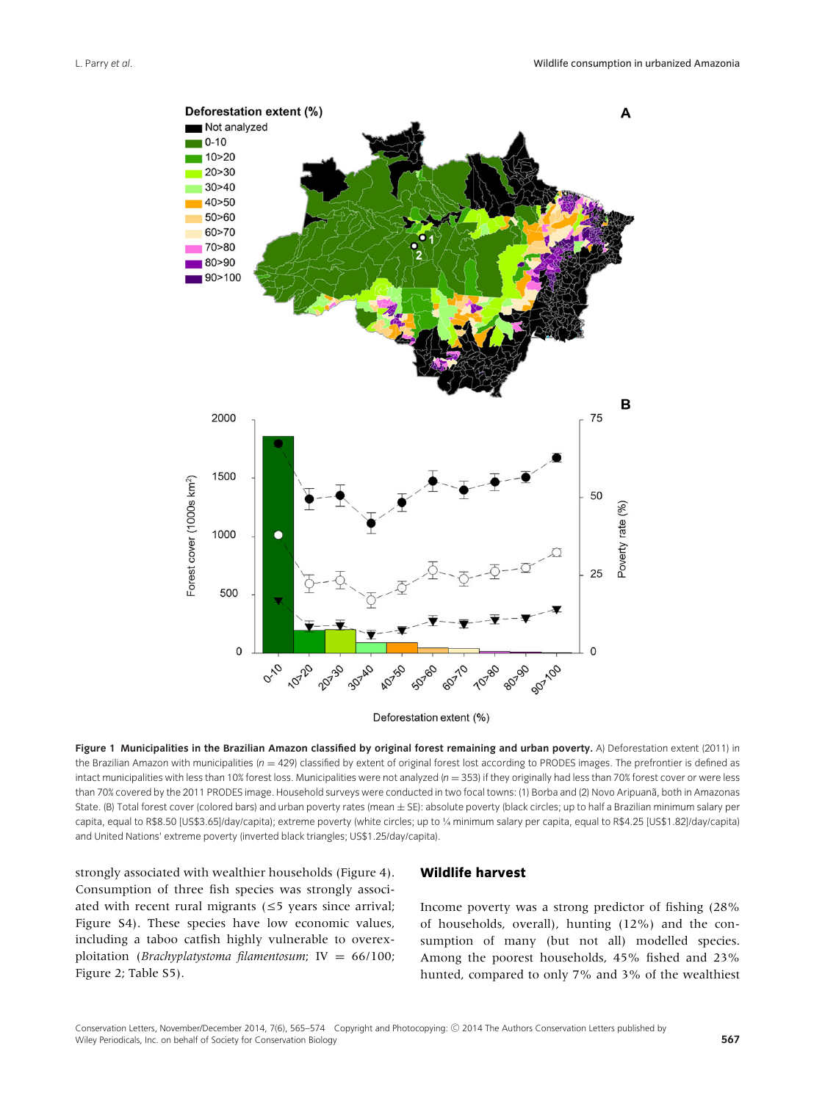



**Figure 1 Municipalities in the Brazilian Amazon classified by original forest remaining and urban poverty.** A) Deforestation extent (2011) in the Brazilian Amazon with municipalities ( $n = 429$ ) classified by extent of original forest lost according to PRODES images. The prefrontier is defined as intact municipalities with less than 10% forest loss. Municipalities were not analyzed ( $n = 353$ ) if they originally had less than 70% forest cover or were less than 70% covered by the 2011 PRODES image. Household surveys were conducted in two focal towns: (1) Borba and (2) Novo Aripuanã, both in Amazonas State. (B) Total forest cover (colored bars) and urban poverty rates (mean  $\pm$  SE): absolute poverty (black circles; up to half a Brazilian minimum salary per capita, equal to R\$8.50 [US\$3.65]/day/capita); extreme poverty (white circles; up to ¼ minimum salary per capita, equal to R\$4.25 [US\$1.82]/day/capita) and United Nations' extreme poverty (inverted black triangles; US\$1.25/day/capita).

strongly associated with wealthier households (Figure 4). Consumption of three fish species was strongly associated with recent rural migrants  $(\leq 5$  years since arrival; Figure S4). These species have low economic values, including a taboo catfish highly vulnerable to overexploitation (*Brachyplatystoma filamentosum*; IV = 66/100; Figure 2; Table S5).

#### **Wildlife harvest**

Income poverty was a strong predictor of fishing (28% of households, overall), hunting (12%) and the consumption of many (but not all) modelled species. Among the poorest households, 45% fished and 23% hunted, compared to only 7% and 3% of the wealthiest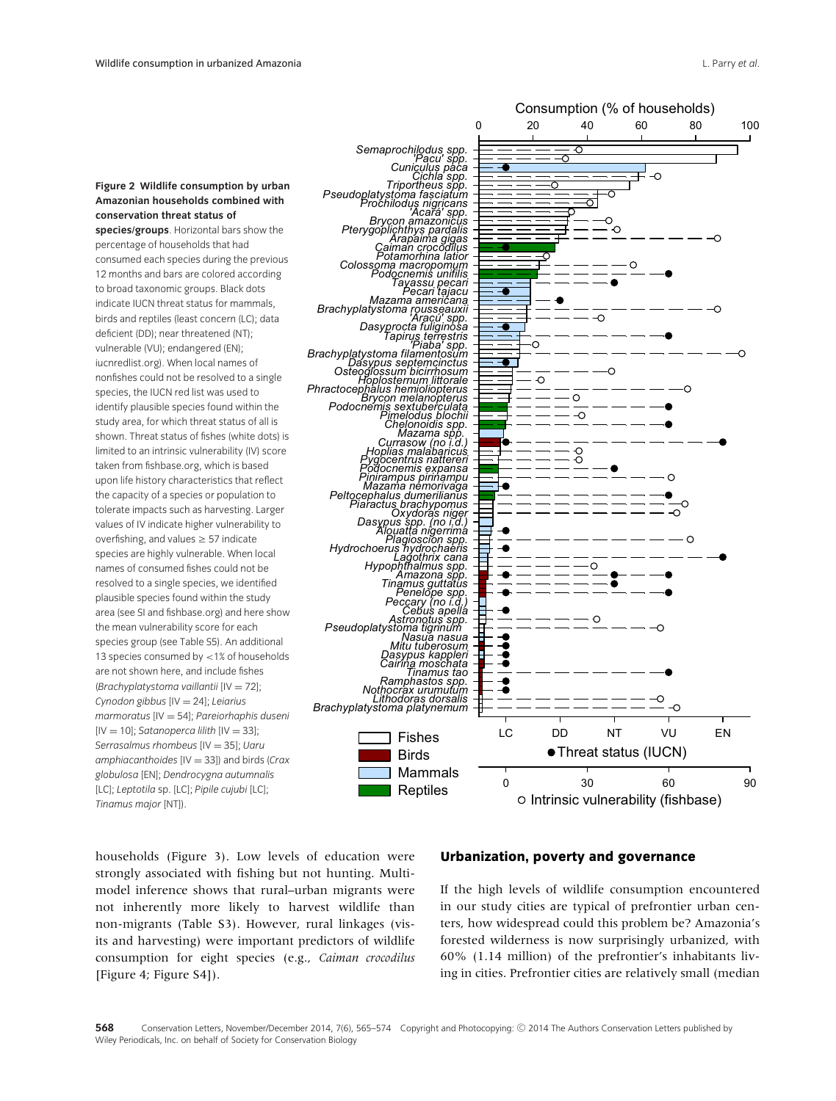

**species/groups**. Horizontal bars show the percentage of households that had consumed each species during the previous 12 months and bars are colored according to broad taxonomic groups. Black dots indicate IUCN threat status for mammals, birds and reptiles (least concern (LC); data deficient (DD); near threatened (NT); vulnerable (VU); endangered (EN); iucnredlist.org). When local names of nonfishes could not be resolved to a single species, the IUCN red list was used to identify plausible species found within the study area, for which threat status of all is shown. Threat status of fishes (white dots) is limited to an intrinsic vulnerability (IV) score taken from fishbase.org, which is based upon life history characteristics that reflect the capacity of a species or population to tolerate impacts such as harvesting. Larger values of IV indicate higher vulnerability to overfishing, and values  $\geq$  57 indicate species are highly vulnerable. When local names of consumed fishes could not be resolved to a single species, we identified plausible species found within the study area (see SI and fishbase.org) and here show the mean vulnerability score for each species group (see Table S5). An additional 13 species consumed by *<*1% of households are not shown here, and include fishes (*Brachyplatystoma vaillantii* [IV = 72]; *Cynodon gibbus* [IV = 24]; *Leiarius marmoratus* [IV = 54]; *Pareiorhaphis duseni* [IV = 10]; *Satanoperca lilith* [IV = 33]; *Serrasalmus rhombeus* [IV = 35]; *Uaru amphiacanthoides* [IV = 33]) and birds (*Crax globulosa* [EN]; *Dendrocygna autumnalis* [LC]; *Leptotila* sp. [LC]; *Pipile cujubi* [LC]; *Tinamus major* [NT]).



households (Figure 3). Low levels of education were strongly associated with fishing but not hunting. Multimodel inference shows that rural–urban migrants were not inherently more likely to harvest wildlife than non-migrants (Table S3). However, rural linkages (visits and harvesting) were important predictors of wildlife consumption for eight species (e.g., *Caiman crocodilus* [Figure 4; Figure S4]).

#### **Urbanization, poverty and governance**

If the high levels of wildlife consumption encountered in our study cities are typical of prefrontier urban centers, how widespread could this problem be? Amazonia's forested wilderness is now surprisingly urbanized, with 60% (1.14 million) of the prefrontier's inhabitants living in cities. Prefrontier cities are relatively small (median

**568** Conservation Letters, November/December 2014, 7(6), 565–574 Copyright and Photocopying: © 2014 The Authors Conservation Letters published by Wiley Periodicals, Inc. on behalf of Society for Conservation Biology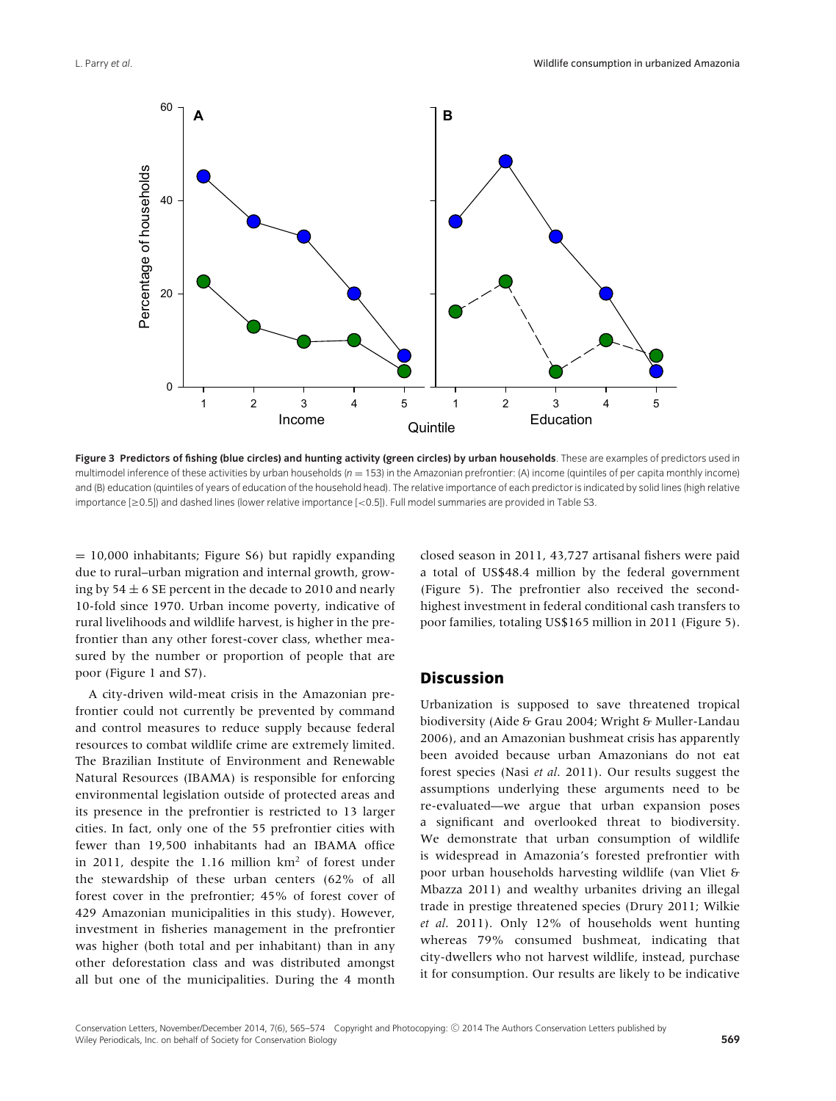

Figure 3 Predictors of fishing (blue circles) and hunting activity (green circles) by urban households. These are examples of predictors used in multimodel inference of these activities by urban households ( $n = 153$ ) in the Amazonian prefrontier: (A) income (quintiles of per capita monthly income) and (B) education (quintiles of years of education of the household head). The relative importance of each predictor is indicated by solid lines (high relative importance [ $\geq$ 0.5]) and dashed lines (lower relative importance [<0.5]). Full model summaries are provided in Table S3.

 $= 10,000$  inhabitants; Figure S6) but rapidly expanding due to rural–urban migration and internal growth, growing by  $54 \pm 6$  SE percent in the decade to 2010 and nearly 10-fold since 1970. Urban income poverty, indicative of rural livelihoods and wildlife harvest, is higher in the prefrontier than any other forest-cover class, whether measured by the number or proportion of people that are poor (Figure 1 and S7).

A city-driven wild-meat crisis in the Amazonian prefrontier could not currently be prevented by command and control measures to reduce supply because federal resources to combat wildlife crime are extremely limited. The Brazilian Institute of Environment and Renewable Natural Resources (IBAMA) is responsible for enforcing environmental legislation outside of protected areas and its presence in the prefrontier is restricted to 13 larger cities. In fact, only one of the 55 prefrontier cities with fewer than 19,500 inhabitants had an IBAMA office in 2011, despite the 1.16 million  $km^2$  of forest under the stewardship of these urban centers (62% of all forest cover in the prefrontier; 45% of forest cover of 429 Amazonian municipalities in this study). However, investment in fisheries management in the prefrontier was higher (both total and per inhabitant) than in any other deforestation class and was distributed amongst all but one of the municipalities. During the 4 month closed season in 2011, 43,727 artisanal fishers were paid a total of US\$48.4 million by the federal government (Figure 5). The prefrontier also received the secondhighest investment in federal conditional cash transfers to poor families, totaling US\$165 million in 2011 (Figure 5).

## **Discussion**

Urbanization is supposed to save threatened tropical biodiversity (Aide & Grau 2004; Wright & Muller-Landau 2006), and an Amazonian bushmeat crisis has apparently been avoided because urban Amazonians do not eat forest species (Nasi *et al*. 2011). Our results suggest the assumptions underlying these arguments need to be re-evaluated—we argue that urban expansion poses a significant and overlooked threat to biodiversity. We demonstrate that urban consumption of wildlife is widespread in Amazonia's forested prefrontier with poor urban households harvesting wildlife (van Vliet & Mbazza 2011) and wealthy urbanites driving an illegal trade in prestige threatened species (Drury 2011; Wilkie *et al*. 2011). Only 12% of households went hunting whereas 79% consumed bushmeat, indicating that city-dwellers who not harvest wildlife, instead, purchase it for consumption. Our results are likely to be indicative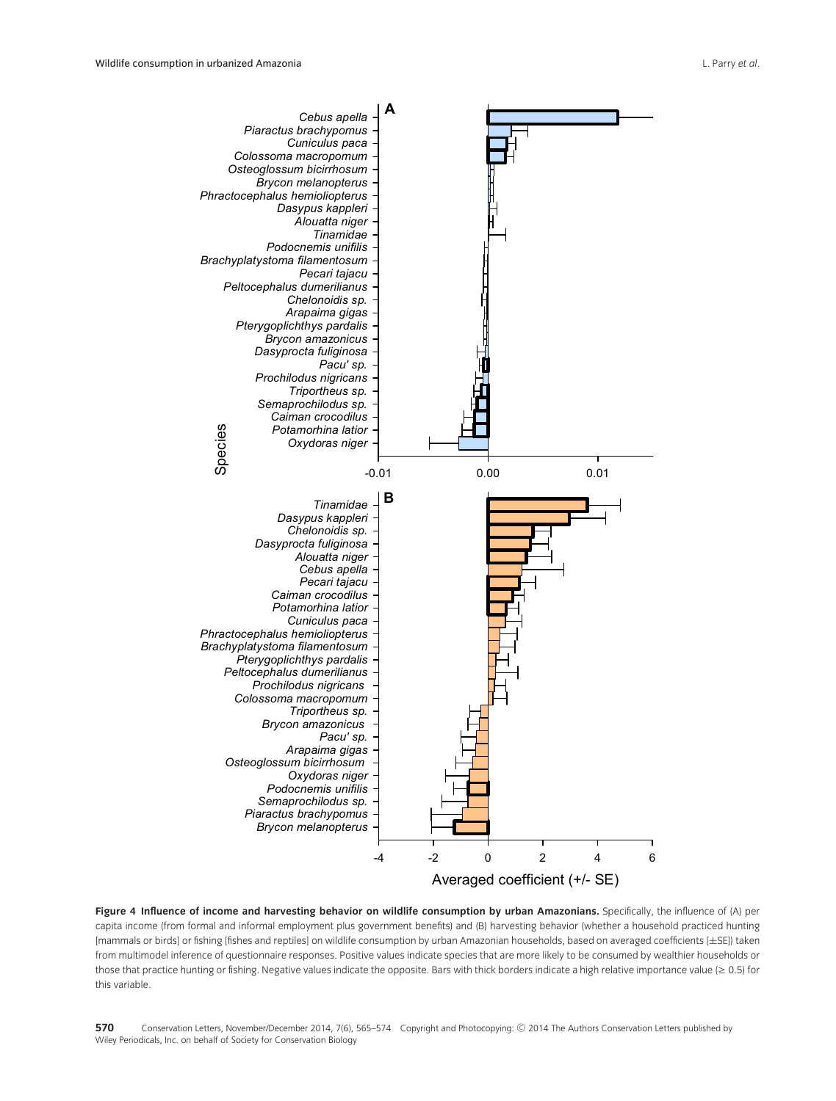

**Figure 4 Influence of income and harvesting behavior on wildlife consumption by urban Amazonians.** Specifically, the influence of (A) per capita income (from formal and informal employment plus government benefits) and (B) harvesting behavior (whether a household practiced hunting [mammals or birds] or fishing [fishes and reptiles] on wildlife consumption by urban Amazonian households, based on averaged coefficients [±SE]) taken from multimodel inference of questionnaire responses. Positive values indicate species that are more likely to be consumed by wealthier households or those that practice hunting or fishing. Negative values indicate the opposite. Bars with thick borders indicate a high relative importance value ( 0.5) for this variable.

**570** Conservation Letters, November/December 2014, 7(6), 565–574 Copyright and Photocopying: © 2014 The Authors Conservation Letters published by Wiley Periodicals, Inc. on behalf of Society for Conservation Biology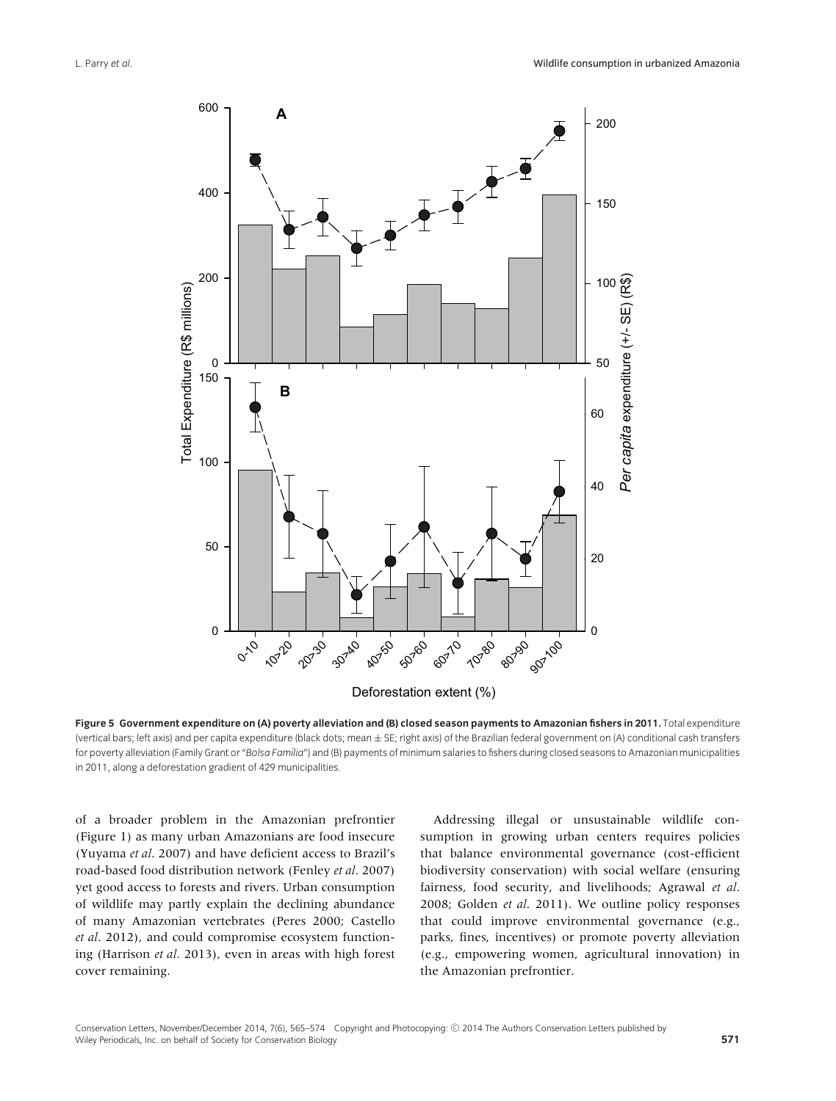

Figure 5 Government expenditure on (A) poverty alleviation and (B) closed season payments to Amazonian fishers in 2011. Total expenditure (vertical bars; left axis) and per capita expenditure (black dots; mean ± SE; right axis) of the Brazilian federal government on (A) conditional cash transfers for poverty alleviation (Family Grant or "Bolsa Família") and (B) payments of minimum salaries to fishers during closed seasons to Amazonian municipalities in 2011, along a deforestation gradient of 429 municipalities.

of a broader problem in the Amazonian prefrontier (Figure 1) as many urban Amazonians are food insecure (Yuyama *et al*. 2007) and have deficient access to Brazil's road-based food distribution network (Fenley *et al*. 2007) yet good access to forests and rivers. Urban consumption of wildlife may partly explain the declining abundance of many Amazonian vertebrates (Peres 2000; Castello *et al*. 2012), and could compromise ecosystem functioning (Harrison *et al*. 2013), even in areas with high forest cover remaining.

Addressing illegal or unsustainable wildlife consumption in growing urban centers requires policies that balance environmental governance (cost-efficient biodiversity conservation) with social welfare (ensuring fairness, food security, and livelihoods; Agrawal *et al*. 2008; Golden *et al*. 2011). We outline policy responses that could improve environmental governance (e.g., parks, fines, incentives) or promote poverty alleviation (e.g., empowering women, agricultural innovation) in the Amazonian prefrontier.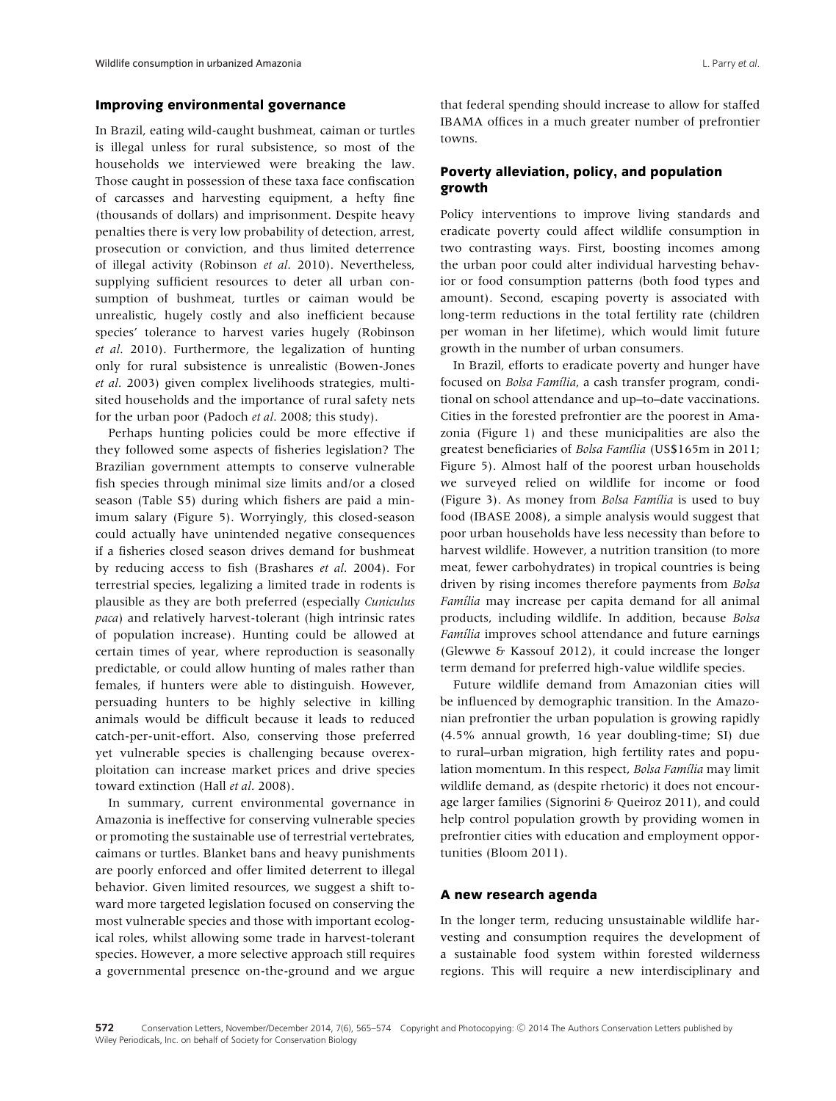#### **Improving environmental governance**

In Brazil, eating wild-caught bushmeat, caiman or turtles is illegal unless for rural subsistence, so most of the households we interviewed were breaking the law. Those caught in possession of these taxa face confiscation of carcasses and harvesting equipment, a hefty fine (thousands of dollars) and imprisonment. Despite heavy penalties there is very low probability of detection, arrest, prosecution or conviction, and thus limited deterrence of illegal activity (Robinson *et al*. 2010). Nevertheless, supplying sufficient resources to deter all urban consumption of bushmeat, turtles or caiman would be unrealistic, hugely costly and also inefficient because species' tolerance to harvest varies hugely (Robinson *et al*. 2010). Furthermore, the legalization of hunting only for rural subsistence is unrealistic (Bowen-Jones *et al*. 2003) given complex livelihoods strategies, multisited households and the importance of rural safety nets for the urban poor (Padoch *et al*. 2008; this study).

Perhaps hunting policies could be more effective if they followed some aspects of fisheries legislation? The Brazilian government attempts to conserve vulnerable fish species through minimal size limits and/or a closed season (Table S5) during which fishers are paid a minimum salary (Figure 5). Worryingly, this closed-season could actually have unintended negative consequences if a fisheries closed season drives demand for bushmeat by reducing access to fish (Brashares *et al*. 2004). For terrestrial species, legalizing a limited trade in rodents is plausible as they are both preferred (especially *Cuniculus paca*) and relatively harvest-tolerant (high intrinsic rates of population increase). Hunting could be allowed at certain times of year, where reproduction is seasonally predictable, or could allow hunting of males rather than females, if hunters were able to distinguish. However, persuading hunters to be highly selective in killing animals would be difficult because it leads to reduced catch-per-unit-effort. Also, conserving those preferred yet vulnerable species is challenging because overexploitation can increase market prices and drive species toward extinction (Hall *et al*. 2008).

In summary, current environmental governance in Amazonia is ineffective for conserving vulnerable species or promoting the sustainable use of terrestrial vertebrates, caimans or turtles. Blanket bans and heavy punishments are poorly enforced and offer limited deterrent to illegal behavior. Given limited resources, we suggest a shift toward more targeted legislation focused on conserving the most vulnerable species and those with important ecological roles, whilst allowing some trade in harvest-tolerant species. However, a more selective approach still requires a governmental presence on-the-ground and we argue that federal spending should increase to allow for staffed IBAMA offices in a much greater number of prefrontier towns.

## **Poverty alleviation, policy, and population growth**

Policy interventions to improve living standards and eradicate poverty could affect wildlife consumption in two contrasting ways. First, boosting incomes among the urban poor could alter individual harvesting behavior or food consumption patterns (both food types and amount). Second, escaping poverty is associated with long-term reductions in the total fertility rate (children per woman in her lifetime), which would limit future growth in the number of urban consumers.

In Brazil, efforts to eradicate poverty and hunger have focused on *Bolsa Fam´ılia*, a cash transfer program, conditional on school attendance and up–to–date vaccinations. Cities in the forested prefrontier are the poorest in Amazonia (Figure 1) and these municipalities are also the greatest beneficiaries of *Bolsa Fam´ılia* (US\$165m in 2011; Figure 5). Almost half of the poorest urban households we surveyed relied on wildlife for income or food (Figure 3). As money from *Bolsa Família* is used to buy food (IBASE 2008), a simple analysis would suggest that poor urban households have less necessity than before to harvest wildlife. However, a nutrition transition (to more meat, fewer carbohydrates) in tropical countries is being driven by rising incomes therefore payments from *Bolsa Fam´ılia* may increase per capita demand for all animal products, including wildlife. In addition, because *Bolsa* Família improves school attendance and future earnings (Glewwe & Kassouf 2012), it could increase the longer term demand for preferred high-value wildlife species.

Future wildlife demand from Amazonian cities will be influenced by demographic transition. In the Amazonian prefrontier the urban population is growing rapidly (4.5% annual growth, 16 year doubling-time; SI) due to rural–urban migration, high fertility rates and population momentum. In this respect, *Bolsa Família* may limit wildlife demand, as (despite rhetoric) it does not encourage larger families (Signorini & Queiroz 2011), and could help control population growth by providing women in prefrontier cities with education and employment opportunities (Bloom 2011).

#### **A new research agenda**

In the longer term, reducing unsustainable wildlife harvesting and consumption requires the development of a sustainable food system within forested wilderness regions. This will require a new interdisciplinary and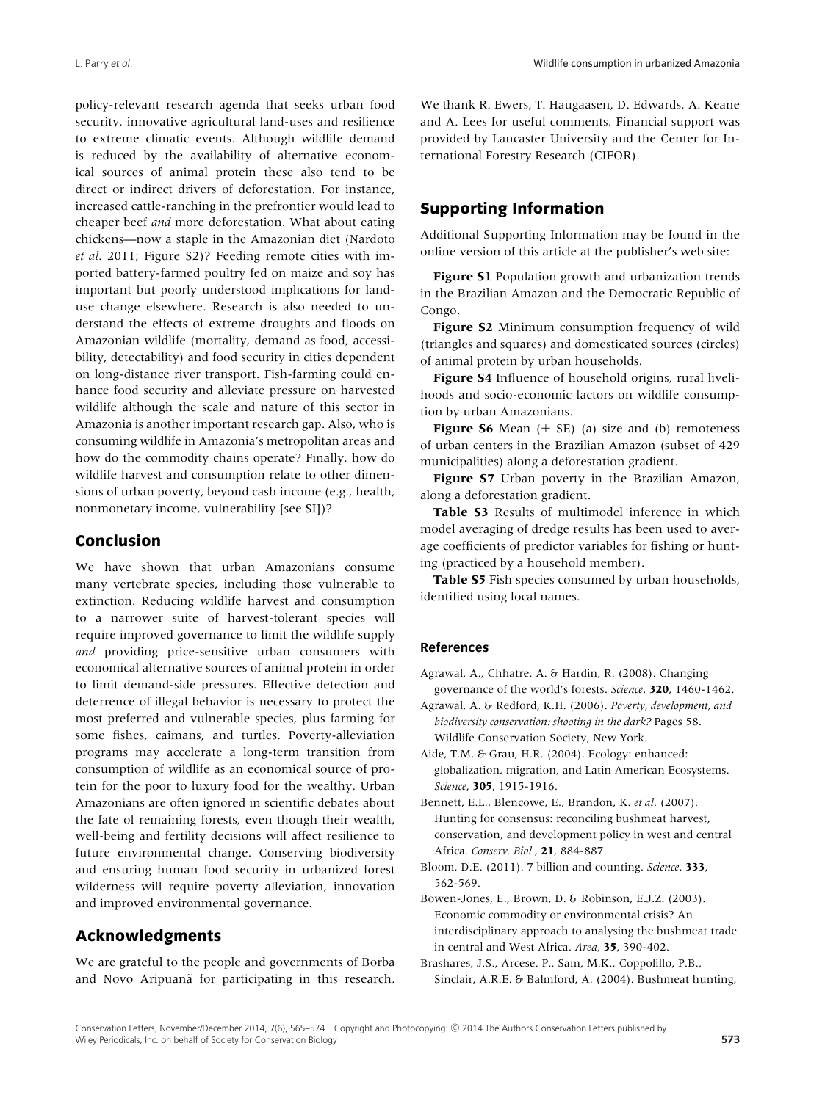policy-relevant research agenda that seeks urban food security, innovative agricultural land-uses and resilience to extreme climatic events. Although wildlife demand is reduced by the availability of alternative economical sources of animal protein these also tend to be direct or indirect drivers of deforestation. For instance, increased cattle-ranching in the prefrontier would lead to cheaper beef *and* more deforestation. What about eating chickens—now a staple in the Amazonian diet (Nardoto *et al*. 2011; Figure S2)? Feeding remote cities with imported battery-farmed poultry fed on maize and soy has important but poorly understood implications for landuse change elsewhere. Research is also needed to understand the effects of extreme droughts and floods on Amazonian wildlife (mortality, demand as food, accessibility, detectability) and food security in cities dependent on long-distance river transport. Fish-farming could enhance food security and alleviate pressure on harvested wildlife although the scale and nature of this sector in Amazonia is another important research gap. Also, who is consuming wildlife in Amazonia's metropolitan areas and how do the commodity chains operate? Finally, how do wildlife harvest and consumption relate to other dimensions of urban poverty, beyond cash income (e.g., health, nonmonetary income, vulnerability [see SI])?

## **Conclusion**

We have shown that urban Amazonians consume many vertebrate species, including those vulnerable to extinction. Reducing wildlife harvest and consumption to a narrower suite of harvest-tolerant species will require improved governance to limit the wildlife supply *and* providing price-sensitive urban consumers with economical alternative sources of animal protein in order to limit demand-side pressures. Effective detection and deterrence of illegal behavior is necessary to protect the most preferred and vulnerable species, plus farming for some fishes, caimans, and turtles. Poverty-alleviation programs may accelerate a long-term transition from consumption of wildlife as an economical source of protein for the poor to luxury food for the wealthy. Urban Amazonians are often ignored in scientific debates about the fate of remaining forests, even though their wealth, well-being and fertility decisions will affect resilience to future environmental change. Conserving biodiversity and ensuring human food security in urbanized forest wilderness will require poverty alleviation, innovation and improved environmental governance.

## **Acknowledgments**

We are grateful to the people and governments of Borba and Novo Aripuana for participating in this research.

We thank R. Ewers, T. Haugaasen, D. Edwards, A. Keane and A. Lees for useful comments. Financial support was provided by Lancaster University and the Center for International Forestry Research (CIFOR).

## **Supporting Information**

Additional Supporting Information may be found in the online version of this article at the publisher's web site:

**Figure S1** Population growth and urbanization trends in the Brazilian Amazon and the Democratic Republic of Congo.

**Figure S2** Minimum consumption frequency of wild (triangles and squares) and domesticated sources (circles) of animal protein by urban households.

**Figure S4** Influence of household origins, rural livelihoods and socio-economic factors on wildlife consumption by urban Amazonians.

**Figure S6** Mean  $(\pm$  SE) (a) size and (b) remoteness of urban centers in the Brazilian Amazon (subset of 429 municipalities) along a deforestation gradient.

**Figure S7** Urban poverty in the Brazilian Amazon, along a deforestation gradient.

**Table S3** Results of multimodel inference in which model averaging of dredge results has been used to average coefficients of predictor variables for fishing or hunting (practiced by a household member).

**Table S5** Fish species consumed by urban households, identified using local names.

#### **References**

- Agrawal, A., Chhatre, A. & Hardin, R. (2008). Changing governance of the world's forests. *Science*, **320**, 1460-1462.
- Agrawal, A. & Redford, K.H. (2006). *Poverty, development, and biodiversity conservation: shooting in the dark?* Pages 58. Wildlife Conservation Society, New York.
- Aide, T.M. & Grau, H.R. (2004). Ecology: enhanced: globalization, migration, and Latin American Ecosystems. *Science*, **305**, 1915-1916.
- Bennett, E.L., Blencowe, E., Brandon, K. *et al*. (2007). Hunting for consensus: reconciling bushmeat harvest, conservation, and development policy in west and central Africa. *Conserv. Biol.*, **21**, 884-887.
- Bloom, D.E. (2011). 7 billion and counting. *Science*, **333**, 562-569.
- Bowen-Jones, E., Brown, D. & Robinson, E.J.Z. (2003). Economic commodity or environmental crisis? An interdisciplinary approach to analysing the bushmeat trade in central and West Africa. *Area*, **35**, 390-402.
- Brashares, J.S., Arcese, P., Sam, M.K., Coppolillo, P.B., Sinclair, A.R.E. & Balmford, A. (2004). Bushmeat hunting,